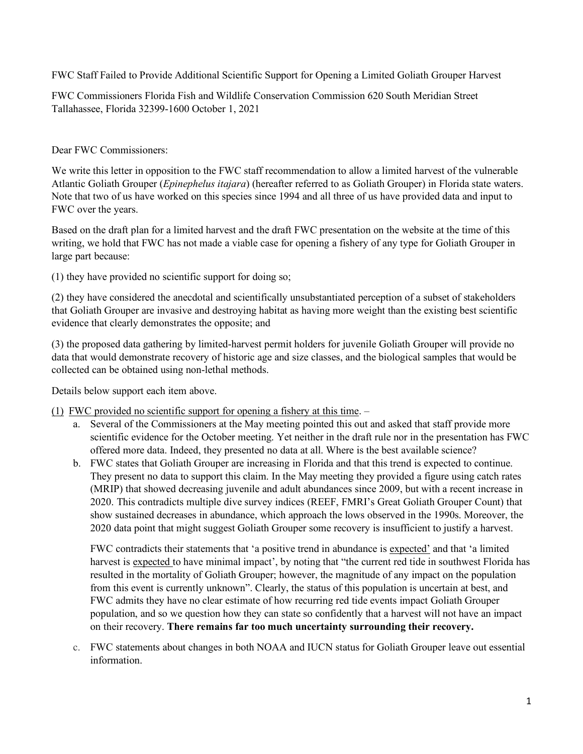FWC Staff Failed to Provide Additional Scientific Support for Opening a Limited Goliath Grouper Harvest

FWC Commissioners Florida Fish and Wildlife Conservation Commission 620 South Meridian Street Tallahassee, Florida 32399-1600 October 1, 2021

Dear FWC Commissioners:

We write this letter in opposition to the FWC staff recommendation to allow a limited harvest of the vulnerable Atlantic Goliath Grouper (*Epinephelus itajara*) (hereafter referred to as Goliath Grouper) in Florida state waters. Note that two of us have worked on this species since 1994 and all three of us have provided data and input to FWC over the years.

Based on the draft plan for a limited harvest and the draft FWC presentation on the website at the time of this writing, we hold that FWC has not made a viable case for opening a fishery of any type for Goliath Grouper in large part because:

(1) they have provided no scientific support for doing so;

(2) they have considered the anecdotal and scientifically unsubstantiated perception of a subset of stakeholders that Goliath Grouper are invasive and destroying habitat as having more weight than the existing best scientific evidence that clearly demonstrates the opposite; and

(3) the proposed data gathering by limited-harvest permit holders for juvenile Goliath Grouper will provide no data that would demonstrate recovery of historic age and size classes, and the biological samples that would be collected can be obtained using non-lethal methods.

Details below support each item above.

(1) FWC provided no scientific support for opening a fishery at this time. –

- a. Several of the Commissioners at the May meeting pointed this out and asked that staff provide more scientific evidence for the October meeting. Yet neither in the draft rule nor in the presentation has FWC offered more data. Indeed, they presented no data at all. Where is the best available science?
- b. FWC states that Goliath Grouper are increasing in Florida and that this trend is expected to continue. They present no data to support this claim. In the May meeting they provided a figure using catch rates (MRIP) that showed decreasing juvenile and adult abundances since 2009, but with a recent increase in 2020. This contradicts multiple dive survey indices (REEF, FMRI's Great Goliath Grouper Count) that show sustained decreases in abundance, which approach the lows observed in the 1990s. Moreover, the 2020 data point that might suggest Goliath Grouper some recovery is insufficient to justify a harvest.

FWC contradicts their statements that 'a positive trend in abundance is expected' and that 'a limited harvest is expected to have minimal impact', by noting that "the current red tide in southwest Florida has resulted in the mortality of Goliath Grouper; however, the magnitude of any impact on the population from this event is currently unknown". Clearly, the status of this population is uncertain at best, and FWC admits they have no clear estimate of how recurring red tide events impact Goliath Grouper population, and so we question how they can state so confidently that a harvest will not have an impact on their recovery. **There remains far too much uncertainty surrounding their recovery.**

c. FWC statements about changes in both NOAA and IUCN status for Goliath Grouper leave out essential information.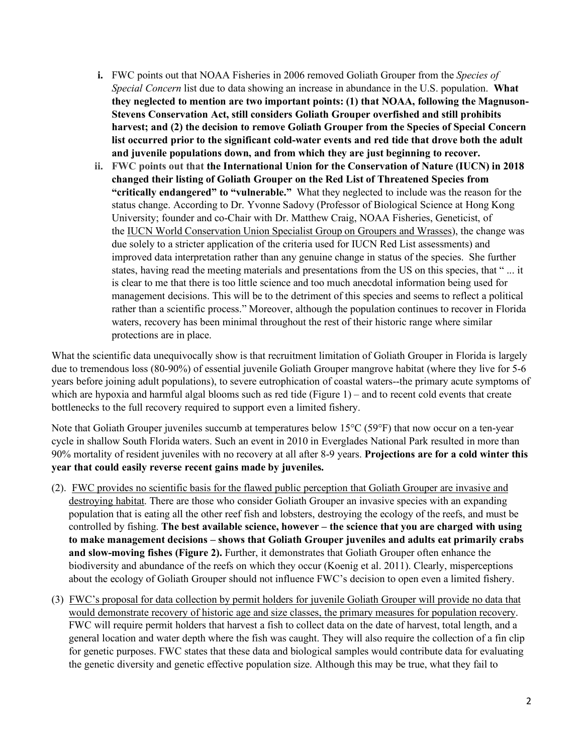- **i.** FWC points out that NOAA Fisheries in 2006 removed Goliath Grouper from the *Species of Special Concern* list due to data showing an increase in abundance in the U.S. population. **What they neglected to mention are two important points: (1) that NOAA, following the Magnuson-Stevens Conservation Act, still considers Goliath Grouper overfished and still prohibits harvest; and (2) the decision to remove Goliath Grouper from the Species of Special Concern list occurred prior to the significant cold-water events and red tide that drove both the adult and juvenile populations down, and from which they are just beginning to recover.**
- **ii. FWC points out that the International Union for the Conservation of Nature (IUCN) in 2018 changed their listing of Goliath Grouper on the Red List of Threatened Species from "critically endangered" to "vulnerable."** What they neglected to include was the reason for the status change. According to Dr. Yvonne Sadovy (Professor of Biological Science at Hong Kong University; founder and co-Chair with Dr. Matthew Craig, NOAA Fisheries, Geneticist, of the IUCN World Conservation Union Specialist Group on Groupers and Wrasses), the change was due solely to a stricter application of the criteria used for IUCN Red List assessments) and improved data interpretation rather than any genuine change in status of the species. She further states, having read the meeting materials and presentations from the US on this species, that " ... it is clear to me that there is too little science and too much anecdotal information being used for management decisions. This will be to the detriment of this species and seems to reflect a political rather than a scientific process." Moreover, although the population continues to recover in Florida waters, recovery has been minimal throughout the rest of their historic range where similar protections are in place.

What the scientific data unequivocally show is that recruitment limitation of Goliath Grouper in Florida is largely due to tremendous loss (80-90%) of essential juvenile Goliath Grouper mangrove habitat (where they live for 5-6 years before joining adult populations), to severe eutrophication of coastal waters--the primary acute symptoms of which are hypoxia and harmful algal blooms such as red tide (Figure 1) – and to recent cold events that create bottlenecks to the full recovery required to support even a limited fishery.

Note that Goliath Grouper juveniles succumb at temperatures below  $15^{\circ}C(59^{\circ}F)$  that now occur on a ten-year cycle in shallow South Florida waters. Such an event in 2010 in Everglades National Park resulted in more than 90% mortality of resident juveniles with no recovery at all after 8-9 years. **Projections are for a cold winter this year that could easily reverse recent gains made by juveniles.**

- (2). FWC provides no scientific basis for the flawed public perception that Goliath Grouper are invasive and destroying habitat. There are those who consider Goliath Grouper an invasive species with an expanding population that is eating all the other reef fish and lobsters, destroying the ecology of the reefs, and must be controlled by fishing. **The best available science, however – the science that you are charged with using to make management decisions – shows that Goliath Grouper juveniles and adults eat primarily crabs and slow-moving fishes (Figure 2).** Further, it demonstrates that Goliath Grouper often enhance the biodiversity and abundance of the reefs on which they occur (Koenig et al. 2011). Clearly, misperceptions about the ecology of Goliath Grouper should not influence FWC's decision to open even a limited fishery.
- (3) FWC's proposal for data collection by permit holders for juvenile Goliath Grouper will provide no data that would demonstrate recovery of historic age and size classes, the primary measures for population recovery. FWC will require permit holders that harvest a fish to collect data on the date of harvest, total length, and a general location and water depth where the fish was caught. They will also require the collection of a fin clip for genetic purposes. FWC states that these data and biological samples would contribute data for evaluating the genetic diversity and genetic effective population size. Although this may be true, what they fail to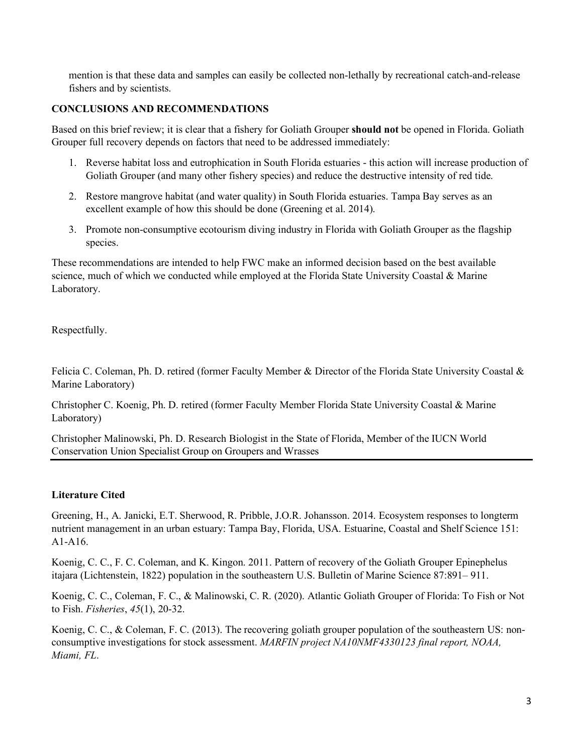mention is that these data and samples can easily be collected non-lethally by recreational catch-and-release fishers and by scientists.

## **CONCLUSIONS AND RECOMMENDATIONS**

Based on this brief review; it is clear that a fishery for Goliath Grouper **should not** be opened in Florida. Goliath Grouper full recovery depends on factors that need to be addressed immediately:

- 1. Reverse habitat loss and eutrophication in South Florida estuaries this action will increase production of Goliath Grouper (and many other fishery species) and reduce the destructive intensity of red tide.
- 2. Restore mangrove habitat (and water quality) in South Florida estuaries. Tampa Bay serves as an excellent example of how this should be done (Greening et al. 2014).
- 3. Promote non-consumptive ecotourism diving industry in Florida with Goliath Grouper as the flagship species.

These recommendations are intended to help FWC make an informed decision based on the best available science, much of which we conducted while employed at the Florida State University Coastal & Marine Laboratory.

Respectfully.

Felicia C. Coleman, Ph. D. retired (former Faculty Member & Director of the Florida State University Coastal & Marine Laboratory)

Christopher C. Koenig, Ph. D. retired (former Faculty Member Florida State University Coastal & Marine Laboratory)

Christopher Malinowski, Ph. D. Research Biologist in the State of Florida, Member of the IUCN World Conservation Union Specialist Group on Groupers and Wrasses

## **Literature Cited**

Greening, H., A. Janicki, E.T. Sherwood, R. Pribble, J.O.R. Johansson. 2014. Ecosystem responses to longterm nutrient management in an urban estuary: Tampa Bay, Florida, USA. Estuarine, Coastal and Shelf Science 151: A1-A16.

Koenig, C. C., F. C. Coleman, and K. Kingon. 2011. Pattern of recovery of the Goliath Grouper Epinephelus itajara (Lichtenstein, 1822) population in the southeastern U.S. Bulletin of Marine Science 87:891– 911.

Koenig, C. C., Coleman, F. C., & Malinowski, C. R. (2020). Atlantic Goliath Grouper of Florida: To Fish or Not to Fish. *Fisheries*, *45*(1), 20-32.

Koenig, C. C., & Coleman, F. C. (2013). The recovering goliath grouper population of the southeastern US: nonconsumptive investigations for stock assessment. *MARFIN project NA10NMF4330123 final report, NOAA, Miami, FL*.